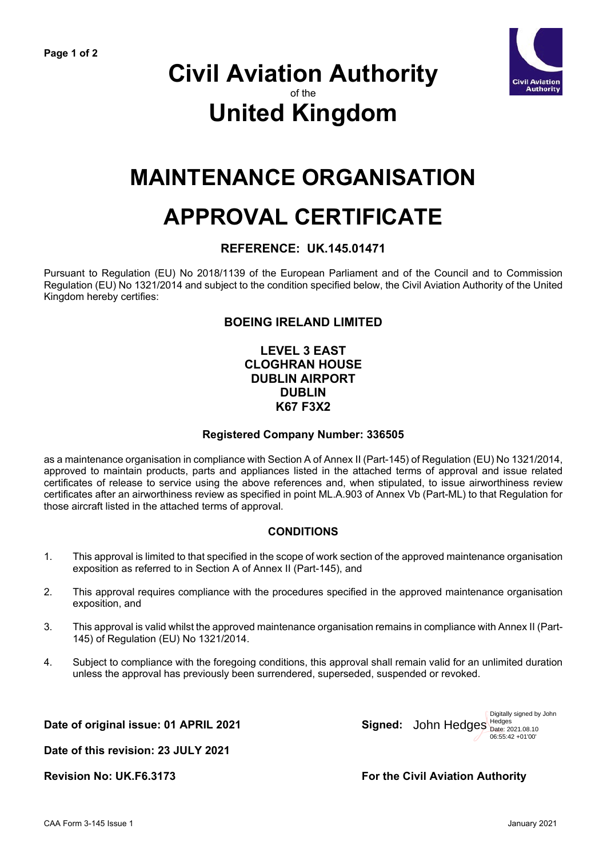

### **Civil Aviation Authority** of the **United Kingdom**

## **MAINTENANCE ORGANISATION**

# **APPROVAL CERTIFICATE**

#### **REFERENCE: UK.145.01471**

Pursuant to Regulation (EU) No 2018/1139 of the European Parliament and of the Council and to Commission Regulation (EU) No 1321/2014 and subject to the condition specified below, the Civil Aviation Authority of the United Kingdom hereby certifies:

#### **BOEING IRELAND LIMITED**

#### **LEVEL 3 EAST CLOGHRAN HOUSE DUBLIN AIRPORT DUBLIN K67 F3X2**

#### **Registered Company Number: 336505**

as a maintenance organisation in compliance with Section A of Annex II (Part-145) of Regulation (EU) No 1321/2014, approved to maintain products, parts and appliances listed in the attached terms of approval and issue related certificates of release to service using the above references and, when stipulated, to issue airworthiness review certificates after an airworthiness review as specified in point ML.A.903 of Annex Vb (Part-ML) to that Regulation for those aircraft listed in the attached terms of approval.

#### **CONDITIONS**

- 1. This approval is limited to that specified in the scope of work section of the approved maintenance organisation exposition as referred to in Section A of Annex II (Part-145), and
- 2. This approval requires compliance with the procedures specified in the approved maintenance organisation exposition, and
- 3. This approval is valid whilst the approved maintenance organisation remains in compliance with Annex II (Part-145) of Regulation (EU) No 1321/2014.
- 4. Subject to compliance with the foregoing conditions, this approval shall remain valid for an unlimited duration unless the approval has previously been surrendered, superseded, suspended or revoked.

Date of original issue: 01 APRIL 2021



**Date of this revision: 23 JULY 2021**

**Revision No: UK.F6.3173 For the Civil Aviation Authority**